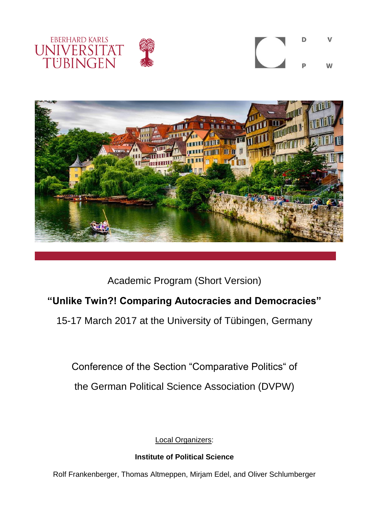







Academic Program (Short Version)

# **"Unlike Twin?! Comparing Autocracies and Democracies"**

15-17 March 2017 at the University of Tübingen, Germany

Conference of the Section "Comparative Politics" of

the German Political Science Association (DVPW)

Local Organizers:

# **Institute of Political Science**

Rolf Frankenberger, Thomas Altmeppen, Mirjam Edel, and Oliver Schlumberger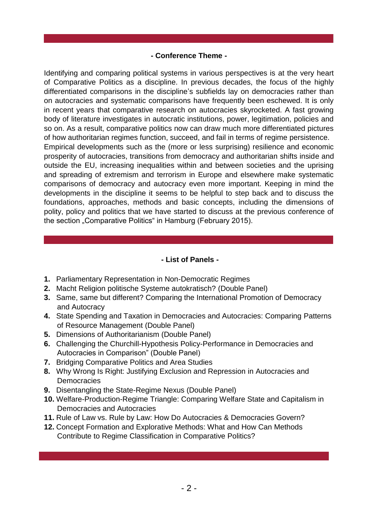### **- Conference Theme -**

Identifying and comparing political systems in various perspectives is at the very heart of Comparative Politics as a discipline. In previous decades, the focus of the highly differentiated comparisons in the discipline's subfields lay on democracies rather than on autocracies and systematic comparisons have frequently been eschewed. It is only in recent years that comparative research on autocracies skyrocketed. A fast growing body of literature investigates in autocratic institutions, power, legitimation, policies and so on. As a result, comparative politics now can draw much more differentiated pictures of how authoritarian regimes function, succeed, and fail in terms of regime persistence. Empirical developments such as the (more or less surprising) resilience and economic prosperity of autocracies, transitions from democracy and authoritarian shifts inside and outside the EU, increasing inequalities within and between societies and the uprising and spreading of extremism and terrorism in Europe and elsewhere make systematic comparisons of democracy and autocracy even more important. Keeping in mind the developments in the discipline it seems to be helpful to step back and to discuss the foundations, approaches, methods and basic concepts, including the dimensions of polity, policy and politics that we have started to discuss at the previous conference of the section "Comparative Politics" in Hamburg (February 2015).

#### **- List of Panels -**

- **1.** Parliamentary Representation in Non-Democratic Regimes
- **2.** Macht Religion politische Systeme autokratisch? (Double Panel)
- **3.** Same, same but different? Comparing the International Promotion of Democracy and Autocracy
- **4.** State Spending and Taxation in Democracies and Autocracies: Comparing Patterns of Resource Management (Double Panel)
- **5.** Dimensions of Authoritarianism (Double Panel)
- **6.** Challenging the Churchill-Hypothesis Policy-Performance in Democracies and Autocracies in Comparison" (Double Panel)
- **7.** Bridging Comparative Politics and Area Studies
- **8.** Why Wrong Is Right: Justifying Exclusion and Repression in Autocracies and **Democracies**
- **9.** Disentangling the State-Regime Nexus (Double Panel)
- **10.** Welfare-Production-Regime Triangle: Comparing Welfare State and Capitalism in Democracies and Autocracies
- **11.** Rule of Law vs. Rule by Law: How Do Autocracies & Democracies Govern?
- **12.** Concept Formation and Explorative Methods: What and How Can Methods Contribute to Regime Classification in Comparative Politics?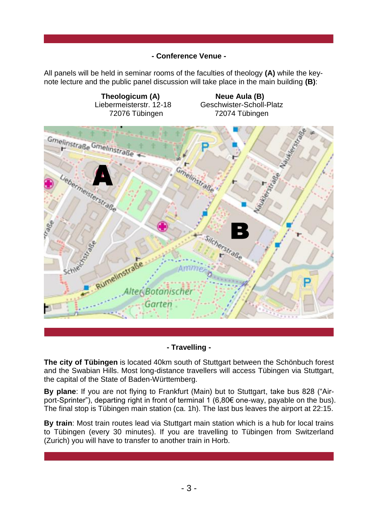# **- Conference Venue -**

All panels will be held in seminar rooms of the faculties of theology **(A)** while the keynote lecture and the public panel discussion will take place in the main building **(B)**:



# **- Travelling -**

**The city of Tübingen** is located 40km south of Stuttgart between the Schönbuch forest and the Swabian Hills. Most long-distance travellers will access Tübingen via Stuttgart, the capital of the State of Baden-Württemberg.

**By plane**: If you are not flying to Frankfurt (Main) but to Stuttgart, take bus 828 ("Airport-Sprinter"), departing right in front of terminal 1 (6,80€ one-way, payable on the bus). The final stop is Tübingen main station (ca. 1h). The last bus leaves the airport at 22:15.

**By train**: Most train routes lead via Stuttgart main station which is a hub for local trains to Tübingen (every 30 minutes). If you are travelling to Tübingen from Switzerland (Zurich) you will have to transfer to another train in Horb.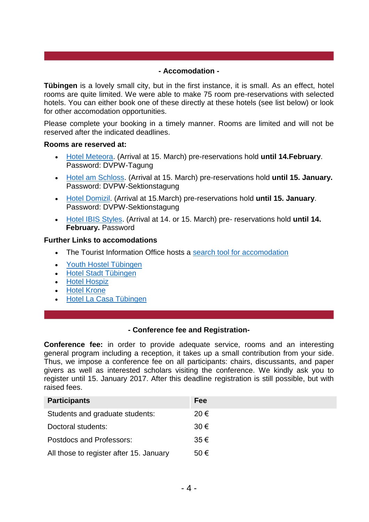#### **- Accomodation -**

**Tübingen** is a lovely small city, but in the first instance, it is small. As an effect, hotel rooms are quite limited. We were able to make 75 room pre-reservations with selected hotels. You can either book one of these directly at these hotels (see list below) or look for other accomodation opportunities.

Please complete your booking in a timely manner. Rooms are limited and will not be reserved after the indicated deadlines.

#### **Rooms are reserved at:**

- [Hotel Meteora.](http://www.hotel-meteora.de/indexE.html) (Arrival at 15. March) pre-reservations hold **until 14.February**. Password: DVPW-Tagung
- [Hotel am Schloss.](http://www.hotelamschloss.de/en) (Arrival at 15. March) pre-reservations hold **until 15. January.**  Password: DVPW-Sektionstagung
- [Hotel Domizil.](http://www.hotel-domizil.de/EN/Home.aspx) (Arrival at 15.March) pre-reservations hold **until 15. January**. Password: DVPW-Sektionstagung
- [Hotel IBIS Styles.](http://www.ibis.com/de/hotel-9841-ibis-styles-tuebingen/index.shtml) (Arrival at 14. or 15. March) pre- reservations hold **until 14. February.** Password

#### **Further Links to accomodations**

- The Tourist Information Office hosts a [search tool for accomodation](http://tuebingen-info.de/index.php?id=768)
- [Youth Hostel Tübingen](http://www.jugendherberge.de/en/youth-hostels/tuebingen113/Portrait)
- [Hotel Stadt Tübingen](http://www.hotel-stadt-tuebingen.de/)
- **•** [Hotel Hospiz](http://www.hotel-hospiz.de/)
- [Hotel Krone](http://www.krone-tuebingen.de/en/)
- [Hotel La Casa Tübingen](http://www.lacasa-tuebingen.de/)

#### **- Conference fee and Registration-**

**Conference fee:** in order to provide adequate service, rooms and an interesting general program including a reception, it takes up a small contribution from your side. Thus, we impose a conference fee on all participants: chairs, discussants, and paper givers as well as interested scholars visiting the conference. We kindly ask you to register until 15. January 2017. After this deadline registration is still possible, but with raised fees.

| <b>Participants</b>                     | Fee           |
|-----------------------------------------|---------------|
| Students and graduate students:         | 20 $\epsilon$ |
| Doctoral students:                      | $30 \in$      |
| Postdocs and Professors:                | $35 \in$      |
| All those to register after 15. January | 50 $\epsilon$ |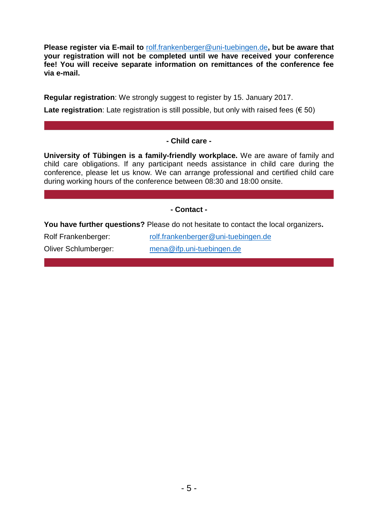**Please register via E-mail to** [rolf.frankenberger@uni-tuebingen.de](mailto:rolf.frankenberger@uni-tuebingen.de)**, but be aware that your registration will not be completed until we have received your conference fee! You will receive separate information on remittances of the conference fee via e-mail.**

**Regular registration**: We strongly suggest to register by 15. January 2017.

**Late registration**: Late registration is still possible, but only with raised fees  $(650)$ 

#### **- Child care -**

**University of Tübingen is a family-friendly workplace.** We are aware of family and child care obligations. If any participant needs assistance in child care during the conference, please let us know. We can arrange professional and certified child care during working hours of the conference between 08:30 and 18:00 onsite.

#### **- Contact -**

**You have further questions?** Please do not hesitate to contact the local organizers**.**

Rolf Frankenberger: [rolf.frankenberger@uni-tuebingen.de](mailto:rolf.frankenberger@uni-tuebingen.de)

Oliver Schlumberger: [mena@ifp.uni-tuebingen.de](mailto:mena@ifp.uni-tuebingen.de)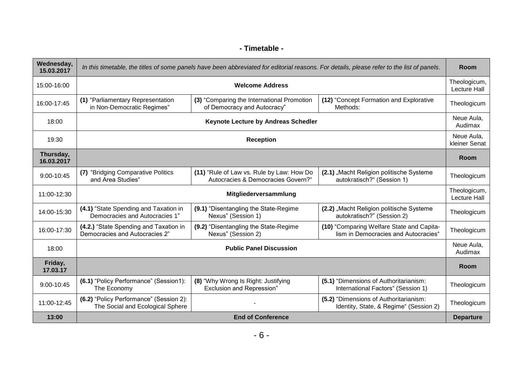# **- Timetable -**

| Wednesday,<br>15.03.2017 | In this timetable, the titles of some panels have been abbreviated for editorial reasons. For details, please refer to the list of panels. |                                                                                 |                                                                                   | Room                        |
|--------------------------|--------------------------------------------------------------------------------------------------------------------------------------------|---------------------------------------------------------------------------------|-----------------------------------------------------------------------------------|-----------------------------|
| 15:00-16:00              | <b>Welcome Address</b>                                                                                                                     |                                                                                 | Theologicum,<br><b>Lecture Hall</b>                                               |                             |
| 16:00-17:45              | (1) "Parliamentary Representation<br>in Non-Democratic Regimes"                                                                            | (3) "Comparing the International Promotion<br>of Democracy and Autocracy"       | (12) "Concept Formation and Explorative<br>Methods:                               | Theologicum                 |
| 18:00                    | Keynote Lecture by Andreas Schedler                                                                                                        |                                                                                 | Neue Aula,<br>Audimax                                                             |                             |
| 19:30                    | <b>Reception</b>                                                                                                                           |                                                                                 |                                                                                   | Neue Aula,<br>kleiner Senat |
| Thursday,<br>16.03.2017  |                                                                                                                                            |                                                                                 |                                                                                   | Room                        |
| 9:00-10:45               | "Bridging Comparative Politics<br>(7)<br>and Area Studies"                                                                                 | (11) "Rule of Law vs. Rule by Law: How Do<br>Autocracies & Democracies Govern?" | (2.1) "Macht Religion politische Systeme<br>autokratisch?" (Session 1)            | Theologicum                 |
| 11:00-12:30              | Mitgliederversammlung                                                                                                                      |                                                                                 | Theologicum,<br><b>Lecture Hall</b>                                               |                             |
| 14:00-15:30              | (4.1) "State Spending and Taxation in<br>Democracies and Autocracies 1"                                                                    | (9.1) "Disentangling the State-Regime<br>Nexus" (Session 1)                     | (2.2) "Macht Religion politische Systeme<br>autokratisch?" (Session 2)            | Theologicum                 |
| 16:00-17:30              | (4.2.) "State Spending and Taxation in<br>Democracies and Autocracies 2"                                                                   | (9.2) "Disentangling the State-Regime<br>Nexus" (Session 2)                     | (10) "Comparing Welfare State and Capita-<br>lism in Democracies and Autocracies" | Theologicum                 |
| 18:00                    | <b>Public Panel Discussion</b>                                                                                                             |                                                                                 | Neue Aula,<br>Audimax                                                             |                             |
| Friday,<br>17.03.17      |                                                                                                                                            |                                                                                 |                                                                                   | <b>Room</b>                 |
| 9:00-10:45               | (6.1) "Policy Performance" (Session1):<br>The Economy                                                                                      | (8) "Why Wrong Is Right: Justifying<br><b>Exclusion and Repression"</b>         | (5.1) "Dimensions of Authoritarianism:<br>International Factors" (Session 1)      | Theologicum                 |
| 11:00-12:45              | (6.2) "Policy Performance" (Session 2):<br>The Social and Ecological Sphere                                                                |                                                                                 | (5.2) "Dimensions of Authoritarianism:<br>Identity, State, & Regime" (Session 2)  | Theologicum                 |
| 13:00                    | <b>End of Conference</b>                                                                                                                   |                                                                                 |                                                                                   | <b>Departure</b>            |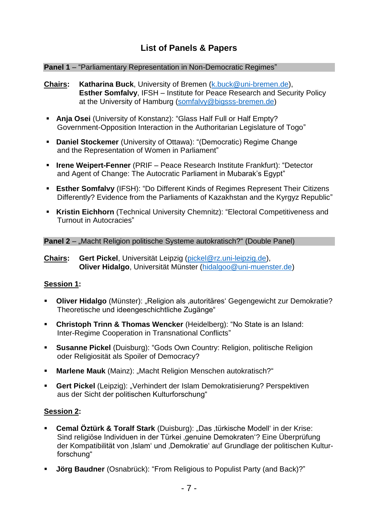# **List of Panels & Papers**

#### **Panel 1** – "Parliamentary Representation in Non-Democratic Regimes"

- **Chairs: Katharina Buck**, University of Bremen [\(k.buck@uni-bremen.de\)](mailto:k.buck@uni-bremen.de), **Esther Somfalvy**, IFSH – Institute for Peace Research and Security Policy at the University of Hamburg [\(somfalvy@bigsss-bremen.de\)](mailto:somfalvy@bigsss-bremen.de)
- **Anja Osei** (University of Konstanz): "Glass Half Full or Half Empty? Government-Opposition Interaction in the Authoritarian Legislature of Togo"
- **Daniel Stockemer** (University of Ottawa): "(Democratic) Regime Change and the Representation of Women in Parliament"
- **Irene Weipert-Fenner** (PRIF Peace Research Institute Frankfurt): "Detector and Agent of Change: The Autocratic Parliament in Mubarak's Egypt"
- **Esther Somfalvy** (IFSH): "Do Different Kinds of Regimes Represent Their Citizens Differently? Evidence from the Parliaments of Kazakhstan and the Kyrgyz Republic"
- **Kristin Eichhorn** (Technical University Chemnitz): "Electoral Competitiveness and Turnout in Autocracies"

#### **Panel 2** – "Macht Religion politische Systeme autokratisch?" (Double Panel)

**Chairs: Gert Pickel**, Universität Leipzig [\(pickel@rz.uni-leipzig.de\)](mailto:pickel@rz.uni-leipzig.de), **Oliver Hidalgo**, Universität Münster [\(hidalgoo@uni-muenster.de\)](mailto:hidalgoo@uni-muenster.de)

#### **Session 1:**

- **Dliver Hidalgo** (Münster): "Religion als ,autoritäres' Gegengewicht zur Demokratie? Theoretische und ideengeschichtliche Zugänge"
- **Christoph Trinn & Thomas Wencker** (Heidelberg): "No State is an Island: Inter-Regime Cooperation in Transnational Conflicts"
- **Susanne Pickel** (Duisburg): "Gods Own Country: Religion, politische Religion oder Religiosität als Spoiler of Democracy?
- **Marlene Mauk** (Mainz): "Macht Religion Menschen autokratisch?"
- **Gert Pickel** (Leipzig): "Verhindert der Islam Demokratisierung? Perspektiven aus der Sicht der politischen Kulturforschung"

#### **Session 2:**

- **Cemal Öztürk & Toralf Stark** (Duisburg): "Das ,türkische Modell' in der Krise: Sind religiöse Individuen in der Türkei genuine Demokraten'? Eine Überprüfung der Kompatibilität von ,Islam' und ,Demokratie' auf Grundlage der politischen Kulturforschung"
- **Jörg Baudner** (Osnabrück): "From Religious to Populist Party (and Back)?"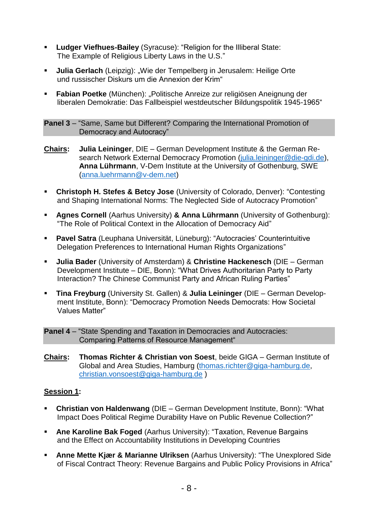- **Ludger Viefhues-Bailey** (Syracuse): "Religion for the Illiberal State: The Example of Religious Liberty Laws in the U.S."
- **Julia Gerlach** (Leipzig): "Wie der Tempelberg in Jerusalem: Heilige Orte und russischer Diskurs um die Annexion der Krim"
- **Fabian Poetke** (München): "Politische Anreize zur religiösen Aneignung der liberalen Demokratie: Das Fallbeispiel westdeutscher Bildungspolitik 1945-1965"

**Panel 3** – "Same, Same but Different? Comparing the International Promotion of Democracy and Autocracy"

- **Chairs: Julia Leininger**, DIE German Development Institute & the German Re-search Network External Democracy Promotion [\(julia.leininger@die-gdi.de\)](mailto:julia.leininger@die-gdi.de), **Anna Lührmann**, V-Dem Institute at the University of Gothenburg, SWE [\(anna.luehrmann@v-dem.net\)](mailto:anna.luehrmann@v-dem.net)
- **Christoph H. Stefes & Betcy Jose** (University of Colorado, Denver): "Contesting and Shaping International Norms: The Neglected Side of Autocracy Promotion"
- **Agnes Cornell** (Aarhus University) **& Anna Lührmann** (University of Gothenburg): "The Role of Political Context in the Allocation of Democracy Aid"
- **Pavel Satra** (Leuphana Universität, Lüneburg): "Autocracies' Counterintuitive Delegation Preferences to International Human Rights Organizations"
- **Julia Bader** (University of Amsterdam) & **Christine Hackenesch** (DIE German Development Institute – DIE, Bonn): "What Drives Authoritarian Party to Party Interaction? The Chinese Communist Party and African Ruling Parties"
- **Tina Freyburg** (University St. Gallen) & **Julia Leininger** (DIE German Development Institute, Bonn): "Democracy Promotion Needs Democrats: How Societal Values Matter"

**Panel 4** – "State Spending and Taxation in Democracies and Autocracies: Comparing Patterns of Resource Management"

**Chairs: Thomas Richter & Christian von Soest**, beide GIGA – German Institute of Global and Area Studies, Hamburg [\(thomas.richter@giga-hamburg.de,](mailto:thomas.richter@giga-hamburg.de) [christian.vonsoest@giga-hamburg.de](mailto:christian.vonsoest@giga-hamburg.de) )

# **Session 1:**

- **Christian von Haldenwang** (DIE German Development Institute, Bonn): "What Impact Does Political Regime Durability Have on Public Revenue Collection?"
- **Ane Karoline Bak Foged** (Aarhus University): "Taxation, Revenue Bargains and the Effect on Accountability Institutions in Developing Countries
- **Anne Mette Kjær & Marianne Ulriksen** (Aarhus University): "The Unexplored Side of Fiscal Contract Theory: Revenue Bargains and Public Policy Provisions in Africa"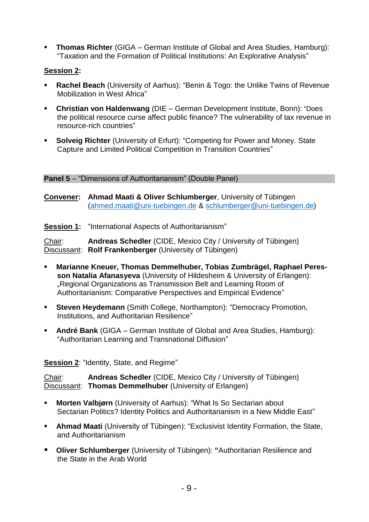**Thomas Richter** (GIGA – German Institute of Global and Area Studies, Hamburg): "Taxation and the Formation of Political Institutions: An Explorative Analysis"

# **Session 2:**

- **Rachel Beach** (University of Aarhus): "Benin & Togo: the Unlike Twins of Revenue Mobilization in West Africa"
- **Christian von Haldenwang** (DIE German Development Institute, Bonn): "Does the political resource curse affect public finance? The vulnerability of tax revenue in resource-rich countries"
- **Solveig Richter** (University of Erfurt): "Competing for Power and Money. State Capture and Limited Political Competition in Transition Countries"

# **Panel 5** – "Dimensions of Authoritarianism" (Double Panel)

**Convener: Ahmad Maati & Oliver Schlumberger**, University of Tübingen [\(ahmed.maati@uni-tuebingen.de](mailto:ahmed.maati@uni-tuebingen.de) & [schlumberger@uni-tuebingen.de\)](mailto:schlumberger@uni-tuebingen.de)

**Session 1:** "International Aspects of Authoritarianism"

Chair: **Andreas Schedler** (CIDE, Mexico City / University of Tübingen) Discussant: **Rolf Frankenberger** (University of Tübingen)

- **Marianne Kneuer, Thomas Demmelhuber, Tobias Zumbrägel, Raphael Peresson Natalia Afanasyeva** (University of Hildesheim & University of Erlangen): "Regional Organizations as Transmission Belt and Learning Room of Authoritarianism: Comparative Perspectives and Empirical Evidence"
- **Steven Heydemann** (Smith College, Northampton): "Democracy Promotion, Institutions, and Authoritarian Resilience"
- **André Bank** (GIGA German Institute of Global and Area Studies, Hamburg): "Authoritarian Learning and Transnational Diffusion"

**Session 2**: "Identity, State, and Regime"

Chair: **Andreas Schedler** (CIDE, Mexico City / University of Tübingen) Discussant: **Thomas Demmelhuber** (University of Erlangen)

- **Morten Valbjørn** (University of Aarhus): "What Is So Sectarian about Sectarian Politics? Identity Politics and Authoritarianism in a New Middle East"
- **Ahmad Maati** (University of Tübingen): "Exclusivist Identity Formation, the State, and Authoritarianism
- **Oliver Schlumberger** (University of Tübingen): **"**Authoritarian Resilience and the State in the Arab World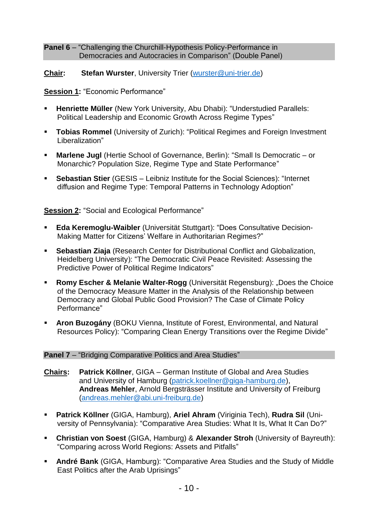#### **Panel 6** – "Challenging the Churchill-Hypothesis Policy-Performance in Democracies and Autocracies in Comparison" (Double Panel)

# **Chair: Stefan Wurster**, University Trier [\(wurster@uni-trier.de\)](mailto:wurster@uni-trier.de)

# **Session 1:** "Economic Performance"

- **Henriette Müller** (New York University, Abu Dhabi): "Understudied Parallels: Political Leadership and Economic Growth Across Regime Types"
- **Tobias Rommel** (University of Zurich): "Political Regimes and Foreign Investment Liberalization"
- **Marlene Jugl** (Hertie School of Governance, Berlin): "Small Is Democratic or Monarchic? Population Size, Regime Type and State Performance"
- **Sebastian Stier** (GESIS Leibniz Institute for the Social Sciences): "Internet diffusion and Regime Type: Temporal Patterns in Technology Adoption"

**Session 2:** "Social and Ecological Performance"

- **Eda Keremoglu-Waibler** (Universität Stuttgart): "Does Consultative Decision-Making Matter for Citizens' Welfare in Authoritarian Regimes?"
- **Sebastian Ziaja** (Research Center for Distributional Conflict and Globalization, Heidelberg University): "The Democratic Civil Peace Revisited: Assessing the Predictive Power of Political Regime Indicators"
- **Romy Escher & Melanie Walter-Rogg** (Universität Regensburg): "Does the Choice of the Democracy Measure Matter in the Analysis of the Relationship between Democracy and Global Public Good Provision? The Case of Climate Policy Performance"
- **Aron Buzogány** (BOKU Vienna, Institute of Forest, Environmental, and Natural Resources Policy): "Comparing Clean Energy Transitions over the Regime Divide"

# **Panel 7** – "Bridging Comparative Politics and Area Studies"

- **Chairs: Patrick Köllner**, GIGA German Institute of Global and Area Studies and University of Hamburg [\(patrick.koellner@giga-hamburg.de\)](mailto:patrick.koellner@giga-hamburg.de), **Andreas Mehler**, Arnold Bergsträsser Institute and University of Freiburg [\(andreas.mehler@abi.uni-freiburg.de\)](mailto:andreas.mehler@abi.uni-freiburg.de)
- **Patrick Köllner** (GIGA, Hamburg), **Ariel Ahram** (Viriginia Tech), **Rudra Sil** (University of Pennsylvania): "Comparative Area Studies: What It Is, What It Can Do?"
- **Christian von Soest** (GIGA, Hamburg) & **Alexander Stroh** (University of Bayreuth): "Comparing across World Regions: Assets and Pitfalls"
- **André Bank** (GIGA, Hamburg): "Comparative Area Studies and the Study of Middle East Politics after the Arab Uprisings"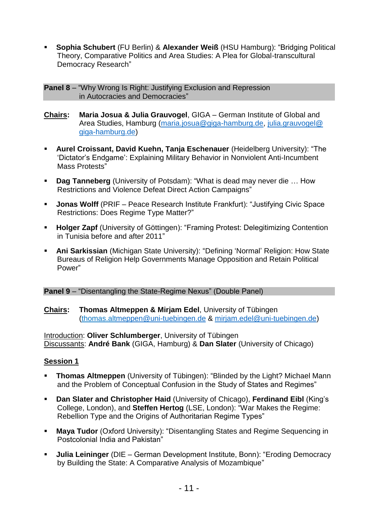**Sophia Schubert** (FU Berlin) & **Alexander Weiß** (HSU Hamburg): "Bridging Political Theory, Comparative Politics and Area Studies: A Plea for Global-transcultural Democracy Research"

**Panel 8** – "Why Wrong Is Right: Justifying Exclusion and Repression in Autocracies and Democracies"

- **Chairs: Maria Josua & Julia Grauvogel**, GIGA German Institute of Global and Area Studies, Hamburg [\(maria.josua@giga-hamburg.de,](mailto:maria.josua@giga-hamburg.de) [julia.grauvogel@](mailto:julia.grauvogel@%20giga-hamburg.de)  [giga-hamburg.de\)](mailto:julia.grauvogel@%20giga-hamburg.de)
- **Aurel Croissant, David Kuehn, Tanja Eschenauer** (Heidelberg University): "The 'Dictator's Endgame': Explaining Military Behavior in Nonviolent Anti-Incumbent Mass Protests"
- **Dag Tanneberg** (University of Potsdam): "What is dead may never die … How Restrictions and Violence Defeat Direct Action Campaigns"
- **Jonas Wolff** (PRIF Peace Research Institute Frankfurt): "Justifying Civic Space Restrictions: Does Regime Type Matter?"
- **Holger Zapf** (University of Göttingen): "Framing Protest: Delegitimizing Contention in Tunisia before and after 2011"
- **Ani Sarkissian** (Michigan State University): "Defining 'Normal' Religion: How State Bureaus of Religion Help Governments Manage Opposition and Retain Political Power"

#### **Panel 9** – "Disentangling the State-Regime Nexus" (Double Panel)

#### **Chairs: Thomas Altmeppen & Mirjam Edel**, University of Tübingen (thomas.al[tmeppen@uni-tuebingen.de](mailto:meppen@uni-tuebingen.de) & [mirjam.edel@uni-tuebingen.de\)](mailto:mirjam.edel@uni-tuebingen.de)

Introduction: **Oliver Schlumberger**, University of Tübingen Discussants: **André Bank** (GIGA, Hamburg) & **Dan Slater** (University of Chicago)

# **Session 1**

- **Thomas Altmeppen** (University of Tübingen): "Blinded by the Light? Michael Mann and the Problem of Conceptual Confusion in the Study of States and Regimes"
- **Dan Slater and Christopher Haid** (University of Chicago), **Ferdinand Eibl** (King's College, London), and **Steffen Hertog** (LSE, London): "War Makes the Regime: Rebellion Type and the Origins of Authoritarian Regime Types"
- **Maya Tudor** (Oxford University): "Disentangling States and Regime Sequencing in Postcolonial India and Pakistan"
- **Julia Leininger** (DIE German Development Institute, Bonn): "Eroding Democracy by Building the State: A Comparative Analysis of Mozambique"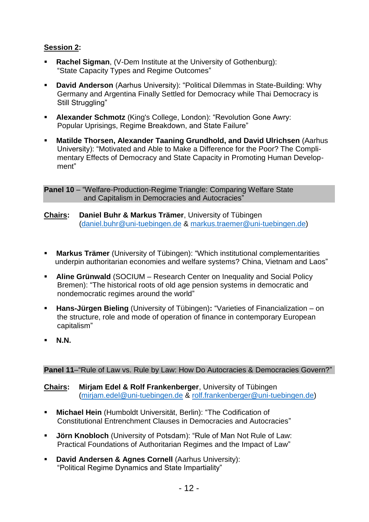# **Session 2:**

- **Rachel Sigman**, (V-Dem Institute at the University of Gothenburg): "State Capacity Types and Regime Outcomes"
- **David Anderson** (Aarhus University): "Political Dilemmas in State-Building: Why Germany and Argentina Finally Settled for Democracy while Thai Democracy is Still Struggling"
- **Alexander Schmotz** (King's College, London): "Revolution Gone Awry: Popular Uprisings, Regime Breakdown, and State Failure"
- **Matilde Thorsen, Alexander Taaning Grundhold, and David Ulrichsen** (Aarhus University): "Motivated and Able to Make a Difference for the Poor? The Complimentary Effects of Democracy and State Capacity in Promoting Human Development"

**Panel 10** – "Welfare-Production-Regime Triangle: Comparing Welfare State and Capitalism in Democracies and Autocracies"

- **Chairs: Daniel Buhr & Markus Trämer**, University of Tübingen [\(daniel.buhr@uni-tuebingen.de](mailto:daniel.buhr@uni-tuebingen.de) & [markus.traemer@uni-tuebingen.de\)](mailto:markus.traemer@uni-tuebingen.de)
- **Markus Trämer** (University of Tübingen): "Which institutional complementarities underpin authoritarian economies and welfare systems? China, Vietnam and Laos"
- **Aline Grünwald** (SOCIUM Research Center on Inequality and Social Policy Bremen): "The historical roots of old age pension systems in democratic and nondemocratic regimes around the world"
- **Hans-Jürgen Bieling** (University of Tübingen)**:** "Varieties of Financialization on the structure, role and mode of operation of finance in contemporary European capitalism"
- **N.N.**

# **Panel 11–**"Rule of Law vs. Rule by Law: How Do Autocracies & Democracies Govern?"

**Chairs: Mirjam Edel & Rolf Frankenberger**, University of Tübingen [\(mirjam.edel@uni-tuebingen.de](mailto:mirjam.edel@uni-tuebingen.de) & [rolf.frankenberger@uni-tuebingen.de\)](mailto:rolf.frankenberger@uni-tuebingen.de)

- **Michael Hein** (Humboldt Universität, Berlin): "The Codification of Constitutional Entrenchment Clauses in Democracies and Autocracies"
- **Jörn Knobloch** (University of Potsdam): "Rule of Man Not Rule of Law: Practical Foundations of Authoritarian Regimes and the Impact of Law"
- **David Andersen & Agnes Cornell** (Aarhus University): "Political Regime Dynamics and State Impartiality"